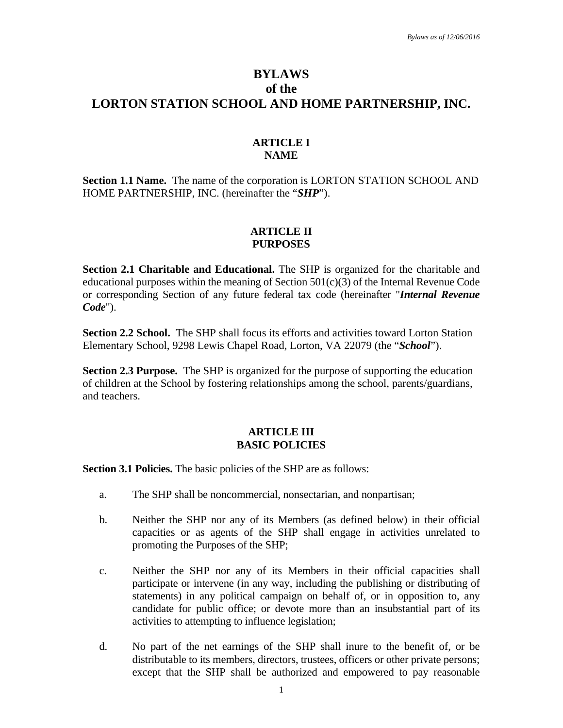# **BYLAWS of the LORTON STATION SCHOOL AND HOME PARTNERSHIP, INC.**

### **ARTICLE I NAME**

**Section 1.1 Name.** The name of the corporation is LORTON STATION SCHOOL AND HOME PARTNERSHIP, INC. (hereinafter the "*SHP*").

#### **ARTICLE II PURPOSES**

**Section 2.1 Charitable and Educational.** The SHP is organized for the charitable and educational purposes within the meaning of Section 501(c)(3) of the Internal Revenue Code or corresponding Section of any future federal tax code (hereinafter "*Internal Revenue Code*").

**Section 2.2 School.** The SHP shall focus its efforts and activities toward Lorton Station Elementary School, 9298 Lewis Chapel Road, Lorton, VA 22079 (the "*School*").

**Section 2.3 Purpose.** The SHP is organized for the purpose of supporting the education of children at the School by fostering relationships among the school, parents/guardians, and teachers.

## **ARTICLE III BASIC POLICIES**

**Section 3.1 Policies.** The basic policies of the SHP are as follows:

- a. The SHP shall be noncommercial, nonsectarian, and nonpartisan;
- b. Neither the SHP nor any of its Members (as defined below) in their official capacities or as agents of the SHP shall engage in activities unrelated to promoting the Purposes of the SHP;
- c. Neither the SHP nor any of its Members in their official capacities shall participate or intervene (in any way, including the publishing or distributing of statements) in any political campaign on behalf of, or in opposition to, any candidate for public office; or devote more than an insubstantial part of its activities to attempting to influence legislation;
- d. No part of the net earnings of the SHP shall inure to the benefit of, or be distributable to its members, directors, trustees, officers or other private persons; except that the SHP shall be authorized and empowered to pay reasonable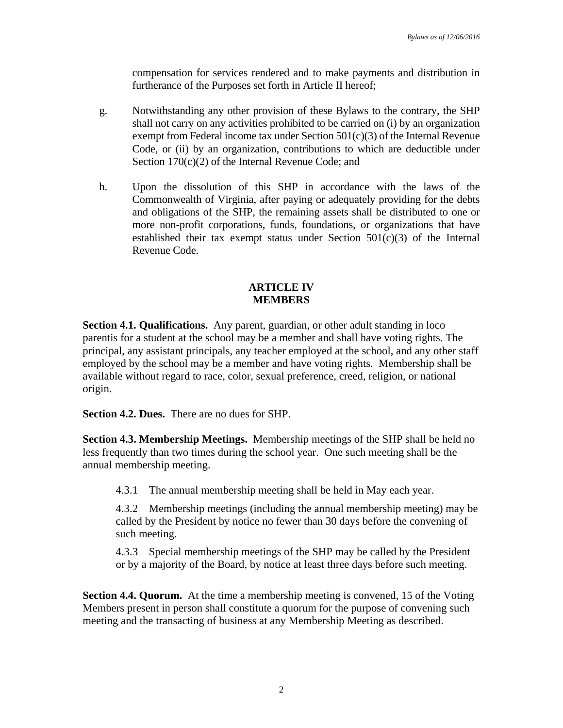compensation for services rendered and to make payments and distribution in furtherance of the Purposes set forth in Article II hereof;

- g. Notwithstanding any other provision of these Bylaws to the contrary, the SHP shall not carry on any activities prohibited to be carried on (i) by an organization exempt from Federal income tax under Section 501(c)(3) of the Internal Revenue Code, or (ii) by an organization, contributions to which are deductible under Section 170(c)(2) of the Internal Revenue Code; and
- h. Upon the dissolution of this SHP in accordance with the laws of the Commonwealth of Virginia, after paying or adequately providing for the debts and obligations of the SHP, the remaining assets shall be distributed to one or more non-profit corporations, funds, foundations, or organizations that have established their tax exempt status under Section 501(c)(3) of the Internal Revenue Code.

#### **ARTICLE IV MEMBERS**

**Section 4.1. Qualifications.** Any parent, guardian, or other adult standing in loco parentis for a student at the school may be a member and shall have voting rights. The principal, any assistant principals, any teacher employed at the school, and any other staff employed by the school may be a member and have voting rights. Membership shall be available without regard to race, color, sexual preference, creed, religion, or national origin.

**Section 4.2. Dues.** There are no dues for SHP.

**Section 4.3. Membership Meetings.** Membership meetings of the SHP shall be held no less frequently than two times during the school year. One such meeting shall be the annual membership meeting.

4.3.1 The annual membership meeting shall be held in May each year.

4.3.2 Membership meetings (including the annual membership meeting) may be called by the President by notice no fewer than 30 days before the convening of such meeting.

4.3.3 Special membership meetings of the SHP may be called by the President or by a majority of the Board, by notice at least three days before such meeting.

**Section 4.4. Quorum.** At the time a membership meeting is convened, 15 of the Voting Members present in person shall constitute a quorum for the purpose of convening such meeting and the transacting of business at any Membership Meeting as described.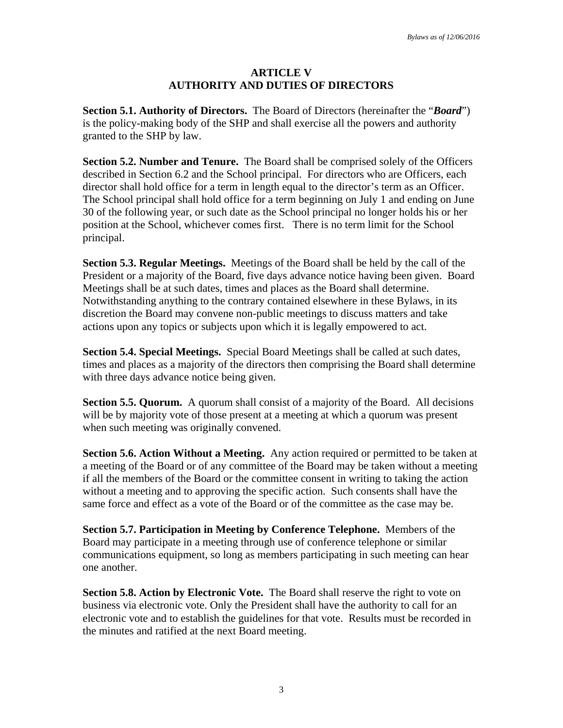#### **ARTICLE V AUTHORITY AND DUTIES OF DIRECTORS**

**Section 5.1. Authority of Directors.** The Board of Directors (hereinafter the "*Board*") is the policy-making body of the SHP and shall exercise all the powers and authority granted to the SHP by law.

**Section 5.2. Number and Tenure.** The Board shall be comprised solely of the Officers described in Section 6.2 and the School principal. For directors who are Officers, each director shall hold office for a term in length equal to the director's term as an Officer. The School principal shall hold office for a term beginning on July 1 and ending on June 30 of the following year, or such date as the School principal no longer holds his or her position at the School, whichever comes first. There is no term limit for the School principal.

**Section 5.3. Regular Meetings.** Meetings of the Board shall be held by the call of the President or a majority of the Board, five days advance notice having been given. Board Meetings shall be at such dates, times and places as the Board shall determine. Notwithstanding anything to the contrary contained elsewhere in these Bylaws, in its discretion the Board may convene non-public meetings to discuss matters and take actions upon any topics or subjects upon which it is legally empowered to act.

**Section 5.4. Special Meetings.** Special Board Meetings shall be called at such dates, times and places as a majority of the directors then comprising the Board shall determine with three days advance notice being given.

**Section 5.5. Quorum.** A quorum shall consist of a majority of the Board. All decisions will be by majority vote of those present at a meeting at which a quorum was present when such meeting was originally convened.

**Section 5.6. Action Without a Meeting.** Any action required or permitted to be taken at a meeting of the Board or of any committee of the Board may be taken without a meeting if all the members of the Board or the committee consent in writing to taking the action without a meeting and to approving the specific action. Such consents shall have the same force and effect as a vote of the Board or of the committee as the case may be.

**Section 5.7. Participation in Meeting by Conference Telephone.** Members of the Board may participate in a meeting through use of conference telephone or similar communications equipment, so long as members participating in such meeting can hear one another.

**Section 5.8. Action by Electronic Vote.** The Board shall reserve the right to vote on business via electronic vote. Only the President shall have the authority to call for an electronic vote and to establish the guidelines for that vote. Results must be recorded in the minutes and ratified at the next Board meeting.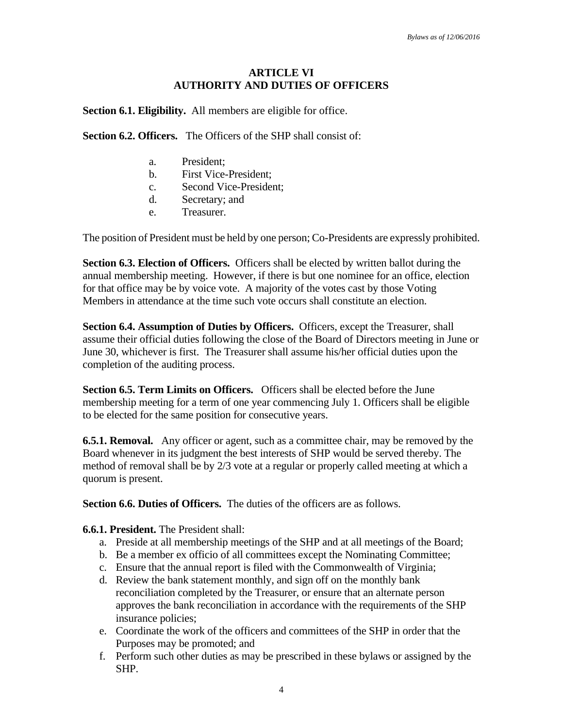# **ARTICLE VI AUTHORITY AND DUTIES OF OFFICERS**

**Section 6.1. Eligibility.** All members are eligible for office.

**Section 6.2. Officers.** The Officers of the SHP shall consist of:

- a. President;
- b. First Vice-President;
- c. Second Vice-President;
- d. Secretary; and
- e. Treasurer.

The position of President must be held by one person; Co-Presidents are expressly prohibited.

**Section 6.3. Election of Officers.** Officers shall be elected by written ballot during the annual membership meeting. However, if there is but one nominee for an office, election for that office may be by voice vote. A majority of the votes cast by those Voting Members in attendance at the time such vote occurs shall constitute an election.

**Section 6.4. Assumption of Duties by Officers.** Officers, except the Treasurer, shall assume their official duties following the close of the Board of Directors meeting in June or June 30, whichever is first. The Treasurer shall assume his/her official duties upon the completion of the auditing process.

**Section 6.5. Term Limits on Officers.** Officers shall be elected before the June membership meeting for a term of one year commencing July 1. Officers shall be eligible to be elected for the same position for consecutive years.

**6.5.1. Removal.** Any officer or agent, such as a committee chair, may be removed by the Board whenever in its judgment the best interests of SHP would be served thereby. The method of removal shall be by 2/3 vote at a regular or properly called meeting at which a quorum is present.

**Section 6.6. Duties of Officers.** The duties of the officers are as follows.

**6.6.1. President.** The President shall:

- a. Preside at all membership meetings of the SHP and at all meetings of the Board;
- b. Be a member ex officio of all committees except the Nominating Committee;
- c. Ensure that the annual report is filed with the Commonwealth of Virginia;
- d. Review the bank statement monthly, and sign off on the monthly bank reconciliation completed by the Treasurer, or ensure that an alternate person approves the bank reconciliation in accordance with the requirements of the SHP insurance policies;
- e. Coordinate the work of the officers and committees of the SHP in order that the Purposes may be promoted; and
- f. Perform such other duties as may be prescribed in these bylaws or assigned by the SHP.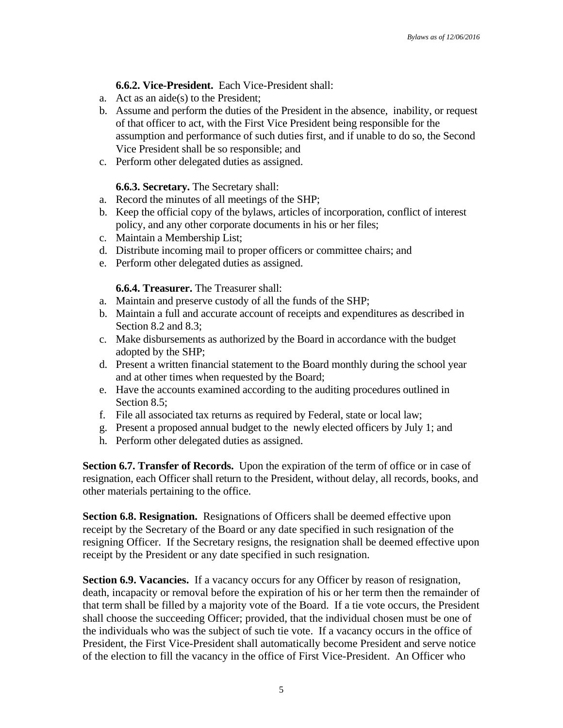# **6.6.2. Vice-President.** Each Vice-President shall:

- a. Act as an aide(s) to the President;
- b. Assume and perform the duties of the President in the absence, inability, or request of that officer to act, with the First Vice President being responsible for the assumption and performance of such duties first, and if unable to do so, the Second Vice President shall be so responsible; and
- c. Perform other delegated duties as assigned.

## **6.6.3. Secretary.** The Secretary shall:

- a. Record the minutes of all meetings of the SHP;
- b. Keep the official copy of the bylaws, articles of incorporation, conflict of interest policy, and any other corporate documents in his or her files;
- c. Maintain a Membership List;
- d. Distribute incoming mail to proper officers or committee chairs; and
- e. Perform other delegated duties as assigned.

## **6.6.4. Treasurer.** The Treasurer shall:

- a. Maintain and preserve custody of all the funds of the SHP;
- b. Maintain a full and accurate account of receipts and expenditures as described in Section 8.2 and 8.3;
- c. Make disbursements as authorized by the Board in accordance with the budget adopted by the SHP;
- d. Present a written financial statement to the Board monthly during the school year and at other times when requested by the Board;
- e. Have the accounts examined according to the auditing procedures outlined in Section 8.5:
- f. File all associated tax returns as required by Federal, state or local law;
- g. Present a proposed annual budget to the newly elected officers by July 1; and
- h. Perform other delegated duties as assigned.

**Section 6.7. Transfer of Records.** Upon the expiration of the term of office or in case of resignation, each Officer shall return to the President, without delay, all records, books, and other materials pertaining to the office.

**Section 6.8. Resignation.** Resignations of Officers shall be deemed effective upon receipt by the Secretary of the Board or any date specified in such resignation of the resigning Officer. If the Secretary resigns, the resignation shall be deemed effective upon receipt by the President or any date specified in such resignation.

**Section 6.9. Vacancies.** If a vacancy occurs for any Officer by reason of resignation, death, incapacity or removal before the expiration of his or her term then the remainder of that term shall be filled by a majority vote of the Board. If a tie vote occurs, the President shall choose the succeeding Officer; provided, that the individual chosen must be one of the individuals who was the subject of such tie vote. If a vacancy occurs in the office of President, the First Vice-President shall automatically become President and serve notice of the election to fill the vacancy in the office of First Vice-President. An Officer who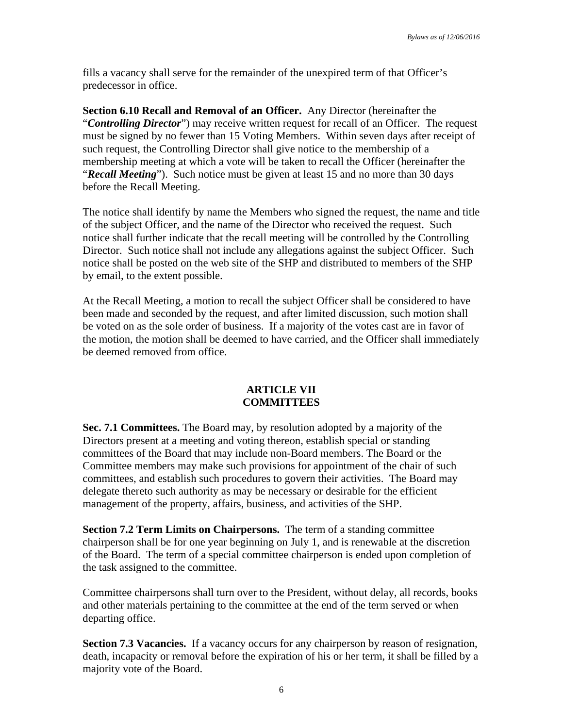fills a vacancy shall serve for the remainder of the unexpired term of that Officer's predecessor in office.

**Section 6.10 Recall and Removal of an Officer.** Any Director (hereinafter the "*Controlling Director*") may receive written request for recall of an Officer. The request must be signed by no fewer than 15 Voting Members. Within seven days after receipt of such request, the Controlling Director shall give notice to the membership of a membership meeting at which a vote will be taken to recall the Officer (hereinafter the "*Recall Meeting*"). Such notice must be given at least 15 and no more than 30 days before the Recall Meeting.

The notice shall identify by name the Members who signed the request, the name and title of the subject Officer, and the name of the Director who received the request. Such notice shall further indicate that the recall meeting will be controlled by the Controlling Director. Such notice shall not include any allegations against the subject Officer. Such notice shall be posted on the web site of the SHP and distributed to members of the SHP by email, to the extent possible.

At the Recall Meeting, a motion to recall the subject Officer shall be considered to have been made and seconded by the request, and after limited discussion, such motion shall be voted on as the sole order of business. If a majority of the votes cast are in favor of the motion, the motion shall be deemed to have carried, and the Officer shall immediately be deemed removed from office.

## **ARTICLE VII COMMITTEES**

**Sec. 7.1 Committees.** The Board may, by resolution adopted by a majority of the Directors present at a meeting and voting thereon, establish special or standing committees of the Board that may include non-Board members. The Board or the Committee members may make such provisions for appointment of the chair of such committees, and establish such procedures to govern their activities. The Board may delegate thereto such authority as may be necessary or desirable for the efficient management of the property, affairs, business, and activities of the SHP.

**Section 7.2 Term Limits on Chairpersons.** The term of a standing committee chairperson shall be for one year beginning on July 1, and is renewable at the discretion of the Board. The term of a special committee chairperson is ended upon completion of the task assigned to the committee.

Committee chairpersons shall turn over to the President, without delay, all records, books and other materials pertaining to the committee at the end of the term served or when departing office.

**Section 7.3 Vacancies.** If a vacancy occurs for any chairperson by reason of resignation, death, incapacity or removal before the expiration of his or her term, it shall be filled by a majority vote of the Board.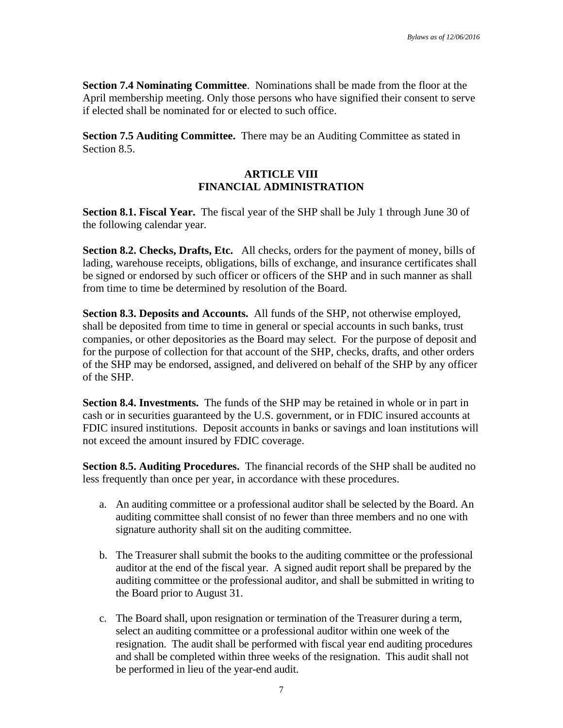**Section 7.4 Nominating Committee**. Nominations shall be made from the floor at the April membership meeting. Only those persons who have signified their consent to serve if elected shall be nominated for or elected to such office.

**Section 7.5 Auditing Committee.** There may be an Auditing Committee as stated in Section 8.5.

## **ARTICLE VIII FINANCIAL ADMINISTRATION**

**Section 8.1. Fiscal Year.** The fiscal year of the SHP shall be July 1 through June 30 of the following calendar year.

**Section 8.2. Checks, Drafts, Etc.** All checks, orders for the payment of money, bills of lading, warehouse receipts, obligations, bills of exchange, and insurance certificates shall be signed or endorsed by such officer or officers of the SHP and in such manner as shall from time to time be determined by resolution of the Board.

**Section 8.3. Deposits and Accounts.** All funds of the SHP, not otherwise employed, shall be deposited from time to time in general or special accounts in such banks, trust companies, or other depositories as the Board may select. For the purpose of deposit and for the purpose of collection for that account of the SHP, checks, drafts, and other orders of the SHP may be endorsed, assigned, and delivered on behalf of the SHP by any officer of the SHP.

**Section 8.4. Investments.** The funds of the SHP may be retained in whole or in part in cash or in securities guaranteed by the U.S. government, or in FDIC insured accounts at FDIC insured institutions. Deposit accounts in banks or savings and loan institutions will not exceed the amount insured by FDIC coverage.

**Section 8.5. Auditing Procedures.** The financial records of the SHP shall be audited no less frequently than once per year, in accordance with these procedures.

- a. An auditing committee or a professional auditor shall be selected by the Board. An auditing committee shall consist of no fewer than three members and no one with signature authority shall sit on the auditing committee.
- b. The Treasurer shall submit the books to the auditing committee or the professional auditor at the end of the fiscal year. A signed audit report shall be prepared by the auditing committee or the professional auditor, and shall be submitted in writing to the Board prior to August 31.
- c. The Board shall, upon resignation or termination of the Treasurer during a term, select an auditing committee or a professional auditor within one week of the resignation. The audit shall be performed with fiscal year end auditing procedures and shall be completed within three weeks of the resignation. This audit shall not be performed in lieu of the year-end audit.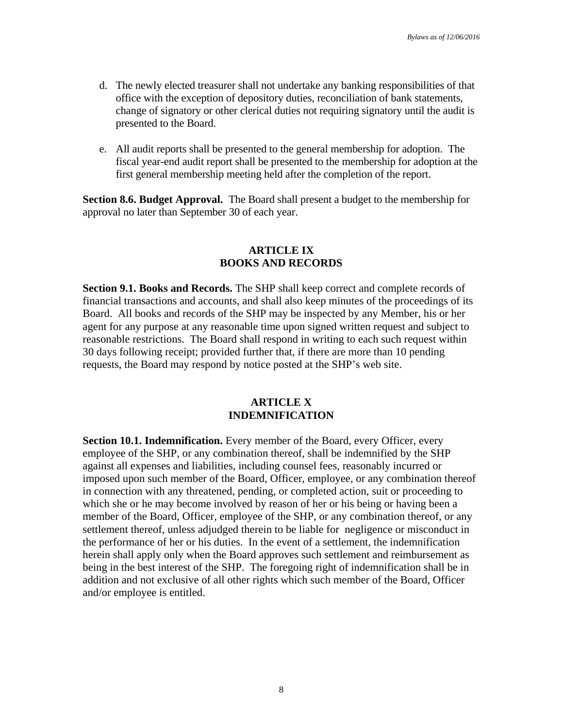- d. The newly elected treasurer shall not undertake any banking responsibilities of that office with the exception of depository duties, reconciliation of bank statements, change of signatory or other clerical duties not requiring signatory until the audit is presented to the Board.
- e. All audit reports shall be presented to the general membership for adoption. The fiscal year-end audit report shall be presented to the membership for adoption at the first general membership meeting held after the completion of the report.

**Section 8.6. Budget Approval.** The Board shall present a budget to the membership for approval no later than September 30 of each year.

#### **ARTICLE IX BOOKS AND RECORDS**

**Section 9.1. Books and Records.** The SHP shall keep correct and complete records of financial transactions and accounts, and shall also keep minutes of the proceedings of its Board. All books and records of the SHP may be inspected by any Member, his or her agent for any purpose at any reasonable time upon signed written request and subject to reasonable restrictions. The Board shall respond in writing to each such request within 30 days following receipt; provided further that, if there are more than 10 pending requests, the Board may respond by notice posted at the SHP's web site.

#### **ARTICLE X INDEMNIFICATION**

**Section 10.1. Indemnification.** Every member of the Board, every Officer, every employee of the SHP, or any combination thereof, shall be indemnified by the SHP against all expenses and liabilities, including counsel fees, reasonably incurred or imposed upon such member of the Board, Officer, employee, or any combination thereof in connection with any threatened, pending, or completed action, suit or proceeding to which she or he may become involved by reason of her or his being or having been a member of the Board, Officer, employee of the SHP, or any combination thereof, or any settlement thereof, unless adjudged therein to be liable for negligence or misconduct in the performance of her or his duties. In the event of a settlement, the indemnification herein shall apply only when the Board approves such settlement and reimbursement as being in the best interest of the SHP. The foregoing right of indemnification shall be in addition and not exclusive of all other rights which such member of the Board, Officer and/or employee is entitled.